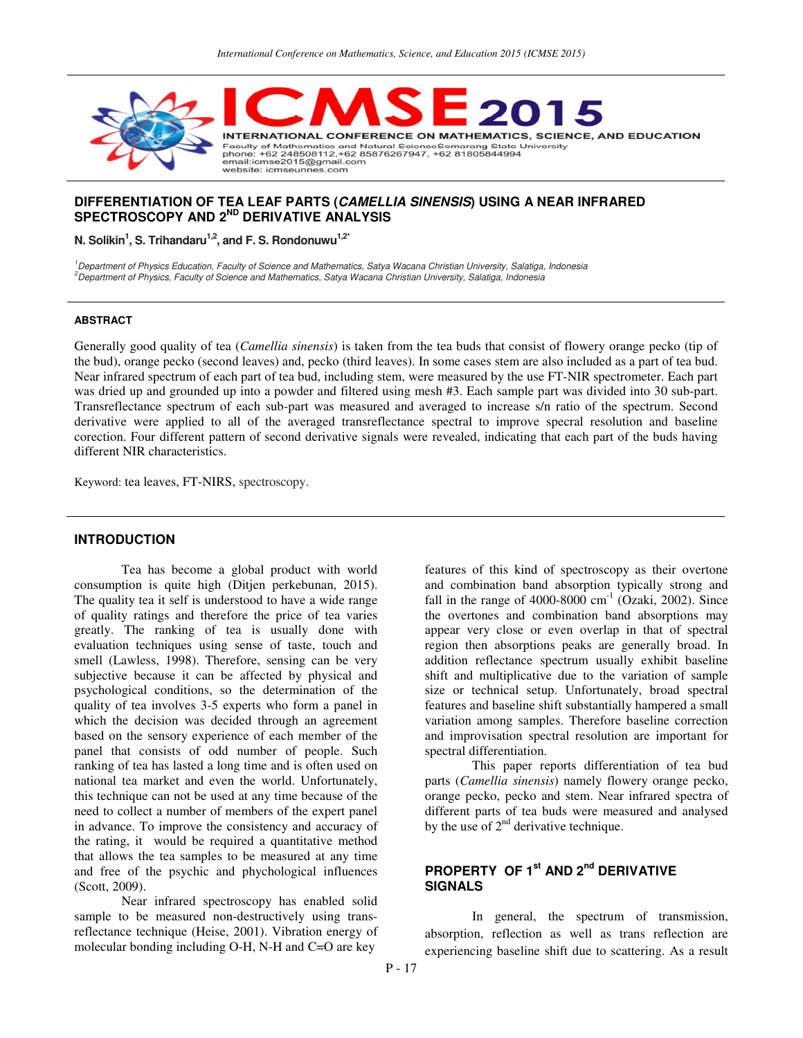

## **DIFFERENTIATION OF TEA LEAF PARTS (CAMELLIA SINENSIS) USING A NEAR INFRARED SPECTROSCOPY AND 2ND DERIVATIVE ANALYSIS**

**N. Solikin<sup>1</sup> , S. Trihandaru1,2, and F. S. Rondonuwu1,2\***

<sup>1</sup>Department of Physics Education, Faculty of Science and Mathematics, Satya Wacana Christian University, Salatiga, Indonesia <sup>2</sup>Department of Physics, Faculty of Science and Mathematics, Satya Wacana Christian University, Salatiga, Indonesia

#### **ABSTRACT**

Generally good quality of tea (*Camellia sinensis*) is taken from the tea buds that consist of flowery orange pecko (tip of the bud), orange pecko (second leaves) and, pecko (third leaves). In some cases stem are also included as a part of tea bud. Near infrared spectrum of each part of tea bud, including stem, were measured by the use FT-NIR spectrometer. Each part was dried up and grounded up into a powder and filtered using mesh #3. Each sample part was divided into 30 sub-part. Transreflectance spectrum of each sub-part was measured and averaged to increase s/n ratio of the spectrum. Second derivative were applied to all of the averaged transreflectance spectral to improve specral resolution and baseline corection. Four different pattern of second derivative signals were revealed, indicating that each part of the buds having different NIR characteristics.

Keyword: tea leaves, FT-NIRS, spectroscopy.

## **INTRODUCTION**

 Tea has become a global product with world consumption is quite high (Ditjen perkebunan, 2015). The quality tea it self is understood to have a wide range of quality ratings and therefore the price of tea varies greatly. The ranking of tea is usually done with evaluation techniques using sense of taste, touch and smell (Lawless, 1998). Therefore, sensing can be very subjective because it can be affected by physical and psychological conditions, so the determination of the quality of tea involves 3-5 experts who form a panel in which the decision was decided through an agreement based on the sensory experience of each member of the panel that consists of odd number of people. Such ranking of tea has lasted a long time and is often used on national tea market and even the world. Unfortunately, this technique can not be used at any time because of the need to collect a number of members of the expert panel in advance. To improve the consistency and accuracy of the rating, it would be required a quantitative method that allows the tea samples to be measured at any time and free of the psychic and phychological influences (Scott, 2009).

 Near infrared spectroscopy has enabled solid sample to be measured non-destructively using transreflectance technique (Heise, 2001). Vibration energy of molecular bonding including O-H, N-H and C=O are key

features of this kind of spectroscopy as their overtone and combination band absorption typically strong and fall in the range of  $4000-8000$  cm<sup>-1</sup> (Ozaki, 2002). Since the overtones and combination band absorptions may appear very close or even overlap in that of spectral region then absorptions peaks are generally broad. In addition reflectance spectrum usually exhibit baseline shift and multiplicative due to the variation of sample size or technical setup. Unfortunately, broad spectral features and baseline shift substantially hampered a small variation among samples. Therefore baseline correction and improvisation spectral resolution are important for spectral differentiation.

 This paper reports differentiation of tea bud parts (*Camellia sinensis*) namely flowery orange pecko, orange pecko, pecko and stem. Near infrared spectra of different parts of tea buds were measured and analysed by the use of  $2<sup>nd</sup>$  derivative technique.

# **PROPERTY OF 1st AND 2nd DERIVATIVE SIGNALS**

In general, the spectrum of transmission, absorption, reflection as well as trans reflection are experiencing baseline shift due to scattering. As a result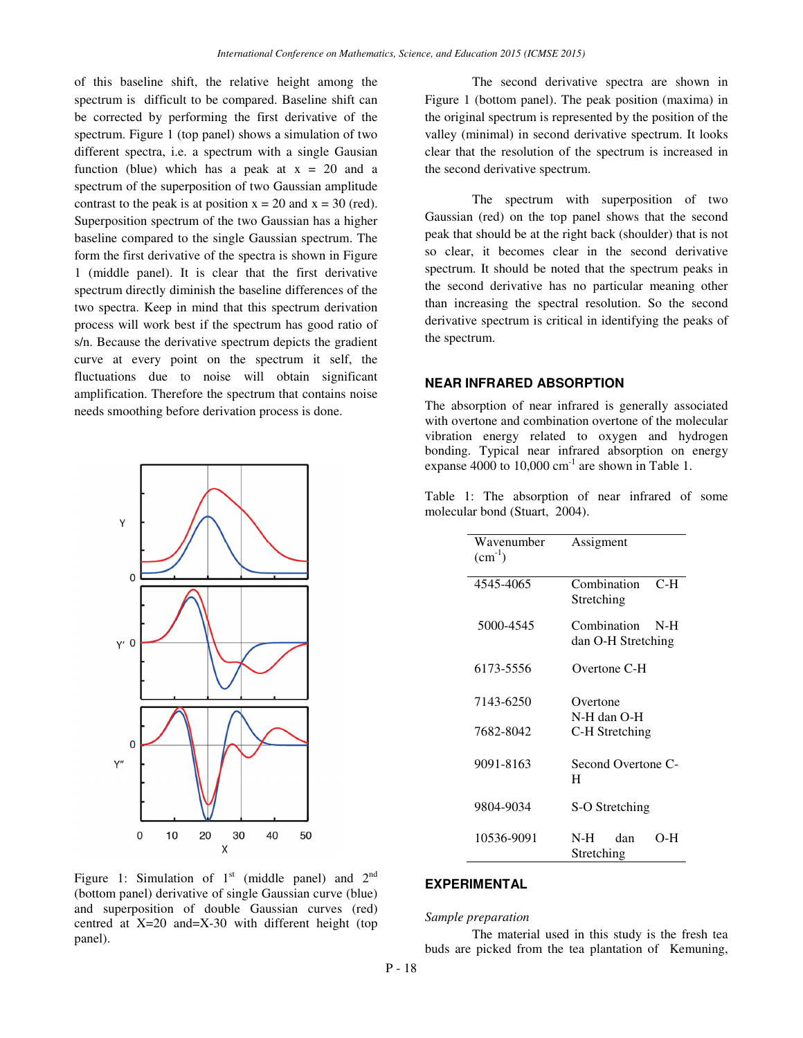of this baseline shift, the relative height among the spectrum is difficult to be compared. Baseline shift can be corrected by performing the first derivative of the spectrum. Figure 1 (top panel) shows a simulation of two different spectra, i.e. a spectrum with a single Gausian function (blue) which has a peak at  $x = 20$  and a spectrum of the superposition of two Gaussian amplitude contrast to the peak is at position  $x = 20$  and  $x = 30$  (red). Superposition spectrum of the two Gaussian has a higher baseline compared to the single Gaussian spectrum. The form the first derivative of the spectra is shown in Figure 1 (middle panel). It is clear that the first derivative spectrum directly diminish the baseline differences of the two spectra. Keep in mind that this spectrum derivation process will work best if the spectrum has good ratio of s/n. Because the derivative spectrum depicts the gradient curve at every point on the spectrum it self, the fluctuations due to noise will obtain significant amplification. Therefore the spectrum that contains noise needs smoothing before derivation process is done.



Figure 1: Simulation of  $1<sup>st</sup>$  (middle panel) and  $2<sup>nd</sup>$ (bottom panel) derivative of single Gaussian curve (blue) and superposition of double Gaussian curves (red) centred at X=20 and=X-30 with different height (top panel).

The second derivative spectra are shown in Figure 1 (bottom panel). The peak position (maxima) in the original spectrum is represented by the position of the valley (minimal) in second derivative spectrum. It looks clear that the resolution of the spectrum is increased in the second derivative spectrum.

The spectrum with superposition of two Gaussian (red) on the top panel shows that the second peak that should be at the right back (shoulder) that is not so clear, it becomes clear in the second derivative spectrum. It should be noted that the spectrum peaks in the second derivative has no particular meaning other than increasing the spectral resolution. So the second derivative spectrum is critical in identifying the peaks of the spectrum.

## **NEAR INFRARED ABSORPTION**

The absorption of near infrared is generally associated with overtone and combination overtone of the molecular vibration energy related to oxygen and hydrogen bonding. Typical near infrared absorption on energy expanse 4000 to  $10,000 \text{ cm}^{-1}$  are shown in Table 1.

| Wavenumber<br>$(cm^{-1})$ | Assigment                                  |
|---------------------------|--------------------------------------------|
| 4545-4065                 | Combination<br>C-H<br>Stretching           |
| 5000-4545                 | Combination<br>$N-H$<br>dan O-H Stretching |
| 6173-5556                 | Overtone C-H                               |
| 7143-6250                 | Overtone<br>N-H dan O-H                    |
| 7682-8042                 | C-H Stretching                             |
| 9091-8163                 | Second Overtone C-<br>H                    |
| 9804-9034                 | S-O Stretching                             |
| 10536-9091                | dan<br>N-H –<br>$O-H$<br>Stretching        |

Table 1: The absorption of near infrared of some molecular bond (Stuart, 2004).

### **EXPERIMENTAL**

#### *Sample preparation*

The material used in this study is the fresh tea buds are picked from the tea plantation of Kemuning,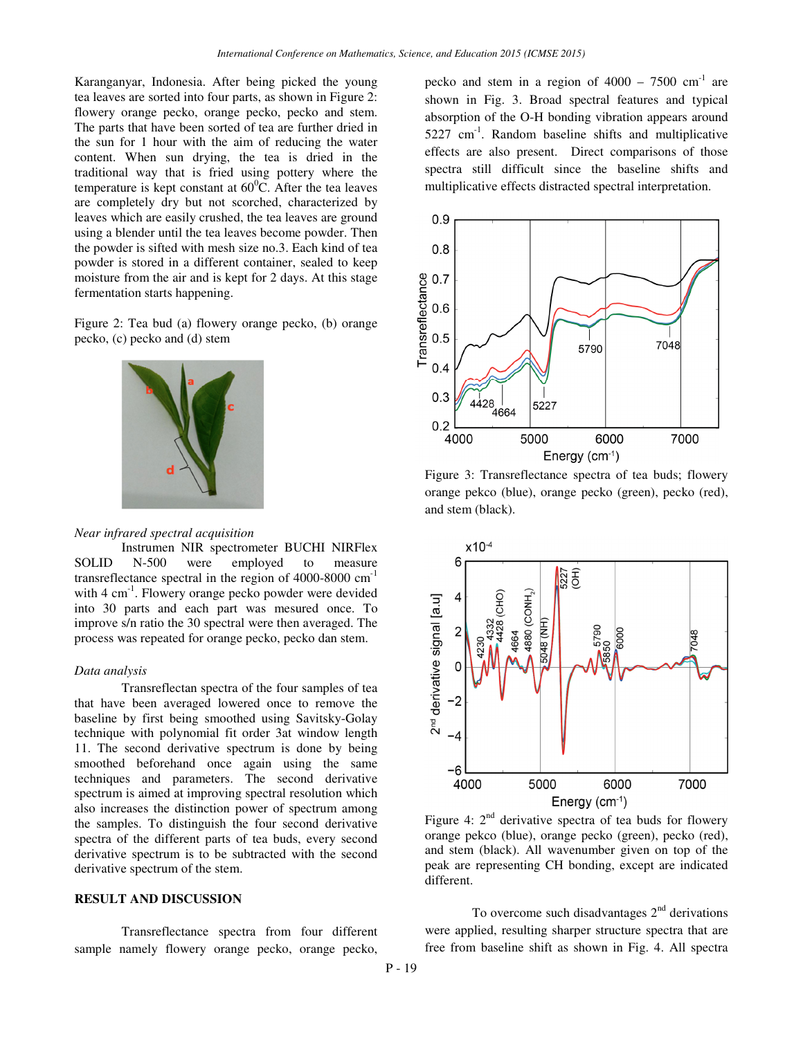Karanganyar, Indonesia. After being picked the young tea leaves are sorted into four parts, as shown in Figure 2: flowery orange pecko, orange pecko, pecko and stem. The parts that have been sorted of tea are further dried in the sun for 1 hour with the aim of reducing the water content. When sun drying, the tea is dried in the traditional way that is fried using pottery where the temperature is kept constant at  $60^{\circ}$ C. After the tea leaves are completely dry but not scorched, characterized by leaves which are easily crushed, the tea leaves are ground using a blender until the tea leaves become powder. Then the powder is sifted with mesh size no.3. Each kind of tea powder is stored in a different container, sealed to keep moisture from the air and is kept for 2 days. At this stage fermentation starts happening.

Figure 2: Tea bud (a) flowery orange pecko, (b) orange pecko, (c) pecko and (d) stem



#### *Near infrared spectral acquisition*

Instrumen NIR spectrometer BUCHI NIRFlex<br>N-500 were employed to measure SOLID N-500 were employed to measure transreflectance spectral in the region of  $4000-8000$  cm<sup>-1</sup> with 4 cm<sup>-1</sup>. Flowery orange pecko powder were devided into 30 parts and each part was mesured once. To improve s/n ratio the 30 spectral were then averaged. The process was repeated for orange pecko, pecko dan stem.

### *Data analysis*

 Transreflectan spectra of the four samples of tea that have been averaged lowered once to remove the baseline by first being smoothed using Savitsky-Golay technique with polynomial fit order 3at window length 11. The second derivative spectrum is done by being smoothed beforehand once again using the same techniques and parameters. The second derivative spectrum is aimed at improving spectral resolution which also increases the distinction power of spectrum among the samples. To distinguish the four second derivative spectra of the different parts of tea buds, every second derivative spectrum is to be subtracted with the second derivative spectrum of the stem.

#### **RESULT AND DISCUSSION**

Transreflectance spectra from four different sample namely flowery orange pecko, orange pecko,

pecko and stem in a region of  $4000 - 7500$  cm<sup>-1</sup> are shown in Fig. 3. Broad spectral features and typical absorption of the O-H bonding vibration appears around  $5227 \text{ cm}^{-1}$ . Random baseline shifts and multiplicative effects are also present. Direct comparisons of those spectra still difficult since the baseline shifts and multiplicative effects distracted spectral interpretation.



Figure 3: Transreflectance spectra of tea buds; flowery orange pekco (blue), orange pecko (green), pecko (red), and stem (black).



Figure 4:  $2<sup>nd</sup>$  derivative spectra of tea buds for flowery orange pekco (blue), orange pecko (green), pecko (red), and stem (black). All wavenumber given on top of the peak are representing CH bonding, except are indicated different.

To overcome such disadvantages  $2<sup>nd</sup>$  derivations were applied, resulting sharper structure spectra that are free from baseline shift as shown in Fig. 4. All spectra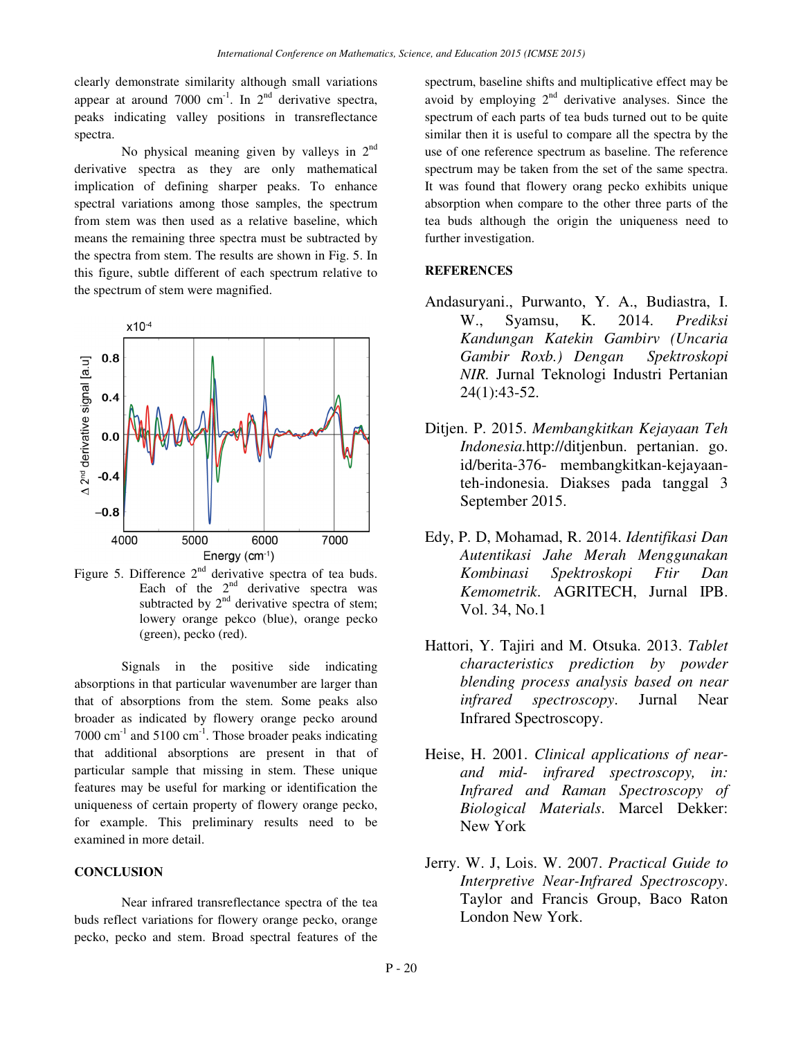clearly demonstrate similarity although small variations appear at around 7000 cm<sup>-1</sup>. In  $2<sup>nd</sup>$  derivative spectra, peaks indicating valley positions in transreflectance spectra.

No physical meaning given by valleys in  $2<sup>nd</sup>$ derivative spectra as they are only mathematical implication of defining sharper peaks. To enhance spectral variations among those samples, the spectrum from stem was then used as a relative baseline, which means the remaining three spectra must be subtracted by the spectra from stem. The results are shown in Fig. 5. In this figure, subtle different of each spectrum relative to the spectrum of stem were magnified.



Figure 5. Difference  $2<sup>nd</sup>$  derivative spectra of tea buds. Each of the  $2<sup>nd</sup>$  derivative spectra was subtracted by  $2<sup>nd</sup>$  derivative spectra of stem; lowery orange pekco (blue), orange pecko (green), pecko (red).

Signals in the positive side indicating absorptions in that particular wavenumber are larger than that of absorptions from the stem. Some peaks also broader as indicated by flowery orange pecko around 7000  $\text{cm}^{-1}$  and 5100  $\text{cm}^{-1}$ . Those broader peaks indicating that additional absorptions are present in that of particular sample that missing in stem. These unique features may be useful for marking or identification the uniqueness of certain property of flowery orange pecko, for example. This preliminary results need to be examined in more detail.

## **CONCLUSION**

Near infrared transreflectance spectra of the tea buds reflect variations for flowery orange pecko, orange pecko, pecko and stem. Broad spectral features of the spectrum, baseline shifts and multiplicative effect may be avoid by employing  $2<sup>nd</sup>$  derivative analyses. Since the spectrum of each parts of tea buds turned out to be quite similar then it is useful to compare all the spectra by the use of one reference spectrum as baseline. The reference spectrum may be taken from the set of the same spectra. It was found that flowery orang pecko exhibits unique absorption when compare to the other three parts of the tea buds although the origin the uniqueness need to further investigation.

### **REFERENCES**

- Andasuryani., Purwanto, Y. A., Budiastra, I. W., Syamsu, K. 2014. *Prediksi Kandungan Katekin Gambirv (Uncaria Gambir Roxb.) Dengan Spektroskopi NIR.* Jurnal Teknologi Industri Pertanian 24(1):43-52.
- Ditjen. P. 2015. *Membangkitkan Kejayaan Teh Indonesia.*http://ditjenbun. pertanian. go. id/berita-376- membangkitkan-kejayaanteh-indonesia. Diakses pada tanggal 3 September 2015.
- Edy, P. D, Mohamad, R. 2014. *Identifikasi Dan Autentikasi Jahe Merah Menggunakan Kombinasi Spektroskopi Ftir Dan Kemometrik*. AGRITECH, Jurnal IPB. Vol. 34, No.1
- Hattori, Y. Tajiri and M. Otsuka. 2013. *Tablet characteristics prediction by powder blending process analysis based on near infrared spectroscopy*. Jurnal Near Infrared Spectroscopy.
- Heise, H. 2001. *Clinical applications of nearand mid- infrared spectroscopy, in: Infrared and Raman Spectroscopy of Biological Materials*. Marcel Dekker: New York
- Jerry. W. J, Lois. W. 2007. *Practical Guide to Interpretive Near-Infrared Spectroscopy*. Taylor and Francis Group, Baco Raton London New York.